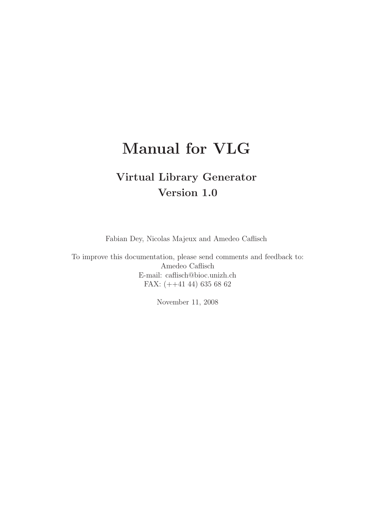# Manual for VLG

# Virtual Library Generator Version 1.0

Fabian Dey, Nicolas Majeux and Amedeo Caflisch

To improve this documentation, please send comments and feedback to: Amedeo Caflisch E-mail: caflisch@bioc.unizh.ch FAX: (++41 44) 635 68 62

November 11, 2008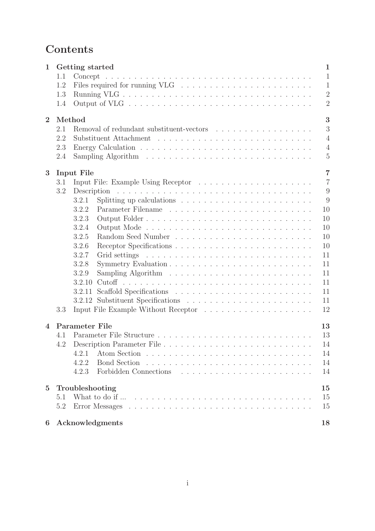# Contents

| $\mathbf{1}$   | 1.1             | Getting started                                                                                      |                                                                                                                 |  |  |  |  |  |  |                |   |    |  |  | $\mathbf{1}$<br>$\mathbf{1}$ |
|----------------|-----------------|------------------------------------------------------------------------------------------------------|-----------------------------------------------------------------------------------------------------------------|--|--|--|--|--|--|----------------|---|----|--|--|------------------------------|
|                | 1.2             |                                                                                                      |                                                                                                                 |  |  |  |  |  |  |                |   |    |  |  | $\mathbf{1}$                 |
|                | 1.3             |                                                                                                      |                                                                                                                 |  |  |  |  |  |  |                |   |    |  |  | $\overline{2}$               |
|                | 1.4             |                                                                                                      |                                                                                                                 |  |  |  |  |  |  |                |   |    |  |  | $\overline{2}$               |
| $\overline{2}$ | Method          |                                                                                                      |                                                                                                                 |  |  |  |  |  |  |                | 3 |    |  |  |                              |
|                | 2.1             |                                                                                                      |                                                                                                                 |  |  |  |  |  |  |                |   |    |  |  | 3                            |
|                | 2.2             |                                                                                                      |                                                                                                                 |  |  |  |  |  |  | $\overline{4}$ |   |    |  |  |                              |
|                | 2.3             |                                                                                                      |                                                                                                                 |  |  |  |  |  |  |                |   |    |  |  | $\overline{4}$               |
|                | 2.4             |                                                                                                      |                                                                                                                 |  |  |  |  |  |  |                |   |    |  |  | $\overline{5}$               |
| 3              |                 | <b>Input File</b>                                                                                    |                                                                                                                 |  |  |  |  |  |  |                |   |    |  |  | $\overline{7}$               |
|                | 3.1             |                                                                                                      |                                                                                                                 |  |  |  |  |  |  |                |   |    |  |  | $\overline{7}$               |
|                | 3.2             |                                                                                                      |                                                                                                                 |  |  |  |  |  |  |                |   |    |  |  | 9                            |
|                |                 | 3.2.1                                                                                                |                                                                                                                 |  |  |  |  |  |  |                |   |    |  |  | 9                            |
|                |                 | 3.2.2                                                                                                |                                                                                                                 |  |  |  |  |  |  |                |   |    |  |  | 10                           |
|                |                 | 3.2.3                                                                                                |                                                                                                                 |  |  |  |  |  |  |                |   |    |  |  | 10                           |
|                |                 | 3.2.4<br>Output Mode                                                                                 |                                                                                                                 |  |  |  |  |  |  |                |   |    |  |  | 10                           |
|                |                 | 3.2.5                                                                                                |                                                                                                                 |  |  |  |  |  |  |                |   |    |  |  | 10                           |
|                |                 | 3.2.6                                                                                                |                                                                                                                 |  |  |  |  |  |  |                |   |    |  |  | 10                           |
|                |                 | 3.2.7<br>Grid settings                                                                               | and a series of the contract of the contract of the contract of the contract of the contract of the contract of |  |  |  |  |  |  |                |   |    |  |  | 11                           |
|                |                 | 3.2.8                                                                                                |                                                                                                                 |  |  |  |  |  |  |                |   |    |  |  | 11                           |
|                |                 | 3.2.9                                                                                                |                                                                                                                 |  |  |  |  |  |  |                |   |    |  |  | 11                           |
|                |                 | 3.2.10                                                                                               |                                                                                                                 |  |  |  |  |  |  |                |   |    |  |  | 11                           |
|                |                 | 3.2.11                                                                                               |                                                                                                                 |  |  |  |  |  |  |                |   |    |  |  | 11                           |
|                |                 |                                                                                                      |                                                                                                                 |  |  |  |  |  |  |                |   |    |  |  | 11                           |
|                | 3.3             |                                                                                                      |                                                                                                                 |  |  |  |  |  |  |                |   |    |  |  | 12                           |
| $\overline{4}$ |                 | <b>Parameter File</b>                                                                                |                                                                                                                 |  |  |  |  |  |  |                |   |    |  |  | 13                           |
|                | 4.1             |                                                                                                      |                                                                                                                 |  |  |  |  |  |  |                |   |    |  |  | 13                           |
|                |                 |                                                                                                      |                                                                                                                 |  |  |  |  |  |  |                |   |    |  |  | 14                           |
|                |                 | 4.2.1                                                                                                |                                                                                                                 |  |  |  |  |  |  |                |   |    |  |  | 14                           |
|                |                 | 4.2.2<br>4.2.3                                                                                       |                                                                                                                 |  |  |  |  |  |  |                |   |    |  |  | 14<br>14                     |
|                |                 |                                                                                                      |                                                                                                                 |  |  |  |  |  |  |                |   |    |  |  |                              |
| $\overline{5}$ | Troubleshooting |                                                                                                      |                                                                                                                 |  |  |  |  |  |  |                |   | 15 |  |  |                              |
|                | 5.1             |                                                                                                      |                                                                                                                 |  |  |  |  |  |  |                |   |    |  |  | 15                           |
|                | 5.2             | Error Messages $\ldots \ldots \ldots \ldots \ldots \ldots \ldots \ldots \ldots \ldots \ldots \ldots$ |                                                                                                                 |  |  |  |  |  |  |                |   |    |  |  | 15                           |
| 6              |                 | Acknowledgments                                                                                      |                                                                                                                 |  |  |  |  |  |  |                |   |    |  |  | 18                           |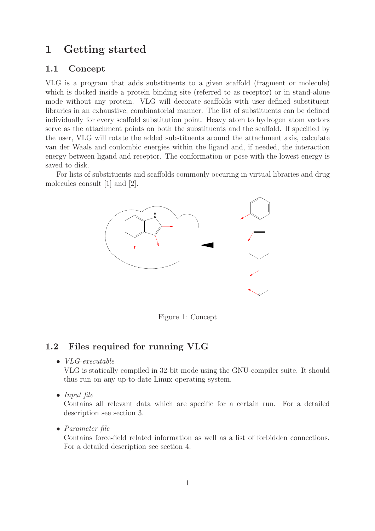# 1 Getting started

### 1.1 Concept

VLG is a program that adds substituents to a given scaffold (fragment or molecule) which is docked inside a protein binding site (referred to as receptor) or in stand-alone mode without any protein. VLG will decorate scaffolds with user-defined substituent libraries in an exhaustive, combinatorial manner. The list of substituents can be defined individually for every scaffold substitution point. Heavy atom to hydrogen atom vectors serve as the attachment points on both the substituents and the scaffold. If specified by the user, VLG will rotate the added substituents around the attachment axis, calculate van der Waals and coulombic energies within the ligand and, if needed, the interaction energy between ligand and receptor. The conformation or pose with the lowest energy is saved to disk.

For lists of substituents and scaffolds commonly occuring in virtual libraries and drug molecules consult [1] and [2].



Figure 1: Concept

### 1.2 Files required for running VLG

• VLG-executable

VLG is statically compiled in 32-bit mode using the GNU-compiler suite. It should thus run on any up-to-date Linux operating system.

• Input file

Contains all relevant data which are specific for a certain run. For a detailed description see section 3.

• Parameter file

Contains force-field related information as well as a list of forbidden connections. For a detailed description see section 4.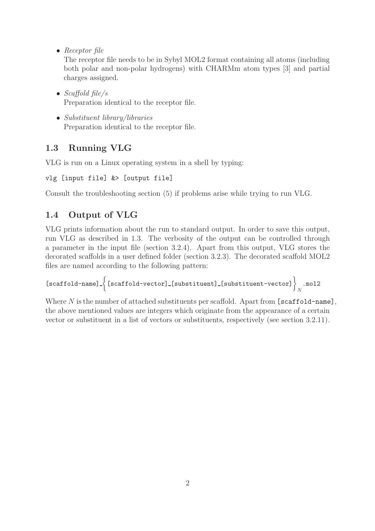• Receptor file

The receptor file needs to be in Sybyl MOL2 format containing all atoms (including both polar and non-polar hydrogens) with CHARMm atom types [3] and partial charges assigned.

- Scaffold file/ $s$ Preparation identical to the receptor file.
- Substituent library/libraries Preparation identical to the receptor file.

## 1.3 Running VLG

VLG is run on a Linux operating system in a shell by typing:

```
vlg [input file] &> [output file]
```
Consult the troubleshooting section (5) if problems arise while trying to run VLG.

## 1.4 Output of VLG

VLG prints information about the run to standard output. In order to save this output, run VLG as described in 1.3. The verbosity of the output can be controlled through a parameter in the input file (section 3.2.4). Apart from this output, VLG stores the decorated scaffolds in a user defined folder (section 3.2.3). The decorated scaffold MOL2 files are named according to the following pattern:

```
[scaffold-name] 
[scaffold-vector] [substituent] [substituent-vector]
                                                                       N
                                                                         .mol2
```
Where  $N$  is the number of attached substituents per scaffold. Apart from [scaffold-name], the above mentioned values are integers which originate from the appearance of a certain vector or substituent in a list of vectors or substituents, respectively (see section 3.2.11).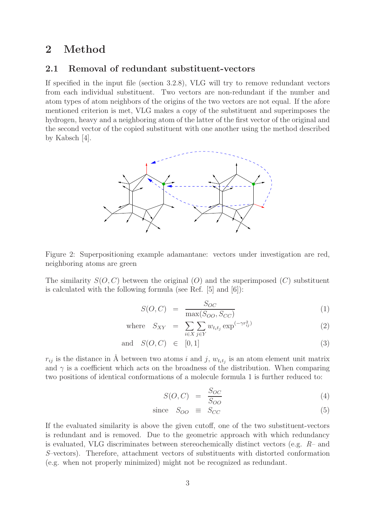## 2 Method

#### 2.1 Removal of redundant substituent-vectors

If specified in the input file (section 3.2.8), VLG will try to remove redundant vectors from each individual substituent. Two vectors are non-redundant if the number and atom types of atom neighbors of the origins of the two vectors are not equal. If the afore mentioned criterion is met, VLG makes a copy of the substituent and superimposes the hydrogen, heavy and a neighboring atom of the latter of the first vector of the original and the second vector of the copied substituent with one another using the method described by Kabsch [4].



Figure 2: Superpositioning example adamantane: vectors under investigation are red, neighboring atoms are green

The similarity  $S(O, C)$  between the original  $(O)$  and the superimposed  $(C)$  substituent is calculated with the following formula (see Ref. [5] and [6]):

$$
S(O, C) = \frac{S_{OC}}{\max(S_{OO}, S_{CC})}
$$
 (1)

where 
$$
S_{XY} = \sum_{i \in X} \sum_{j \in Y} w_{t_i t_j} \exp^{(-\gamma r_{ij}^2)}
$$
 (2)

$$
\text{and} \quad S(O, C) \in [0, 1] \tag{3}
$$

 $r_{ij}$  is the distance in Å between two atoms i and j,  $w_{t_i t_j}$  is an atom element unit matrix and  $\gamma$  is a coefficient which acts on the broadness of the distribution. When comparing two positions of identical conformations of a molecule formula 1 is further reduced to:

$$
S(O, C) = \frac{S_{OC}}{S_{OO}} \tag{4}
$$

since 
$$
S_{OO} \equiv S_{CC}
$$
 (5)

If the evaluated similarity is above the given cutoff, one of the two substituent-vectors is redundant and is removed. Due to the geometric approach with which redundancy is evaluated, VLG discriminates between stereochemically distinct vectors (e.g. R– and S–vectors). Therefore, attachment vectors of substituents with distorted conformation (e.g. when not properly minimized) might not be recognized as redundant.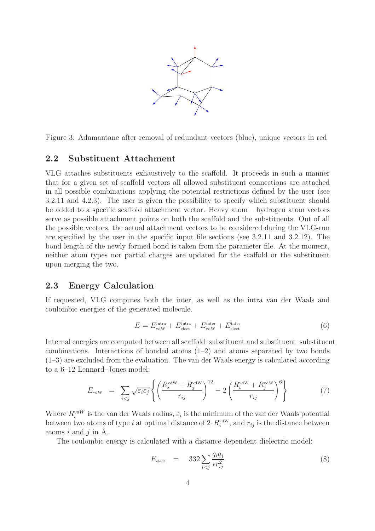

Figure 3: Adamantane after removal of redundant vectors (blue), unique vectors in red

#### 2.2 Substituent Attachment

VLG attaches substituents exhaustively to the scaffold. It proceeds in such a manner that for a given set of scaffold vectors all allowed substituent connections are attached in all possible combinations applying the potential restrictions defined by the user (see 3.2.11 and 4.2.3). The user is given the possibility to specify which substituent should be added to a specific scaffold attachment vector. Heavy atom – hydrogen atom vectors serve as possible attachment points on both the scaffold and the substituents. Out of all the possible vectors, the actual attachment vectors to be considered during the VLG-run are specified by the user in the specific input file sections (see 3.2.11 and 3.2.12). The bond length of the newly formed bond is taken from the parameter file. At the moment, neither atom types nor partial charges are updated for the scaffold or the substituent upon merging the two.

#### 2.3 Energy Calculation

If requested, VLG computes both the inter, as well as the intra van der Waals and coulombic energies of the generated molecule.

$$
E = E_{\text{vdW}}^{\text{intra}} + E_{\text{elect}}^{\text{inter}} + E_{\text{vdW}}^{\text{inter}} + E_{\text{elect}}^{\text{inter}} \tag{6}
$$

Internal energies are computed between all scaffold–substituent and substituent–substituent combinations. Interactions of bonded atoms  $(1-2)$  and atoms separated by two bonds (1–3) are excluded from the evaluation. The van der Waals energy is calculated according to a 6–12 Lennard–Jones model:

$$
E_{\text{vdW}} = \sum_{i < j} \sqrt{\varepsilon_i \varepsilon_j} \left\{ \left( \frac{R_i^{\text{vdW}} + R_j^{\text{vdW}}}{r_{ij}} \right)^{12} - 2 \left( \frac{R_i^{\text{vdW}} + R_j^{\text{vdW}}}{r_{ij}} \right)^6 \right\} \tag{7}
$$

Where  $R_i^{vdW}$  is the van der Waals radius,  $\varepsilon_i$  is the minimum of the van der Waals potential between two atoms of type i at optimal distance of  $2 \cdot R_i^{\text{vdW}}$ , and  $r_{ij}$  is the distance between atoms  $i$  and  $j$  in  $\AA$ .

The coulombic energy is calculated with a distance-dependent dielectric model:

$$
E_{\text{elect}} = 332 \sum_{i < j} \frac{q_i q_j}{\epsilon r_{ij}^2} \tag{8}
$$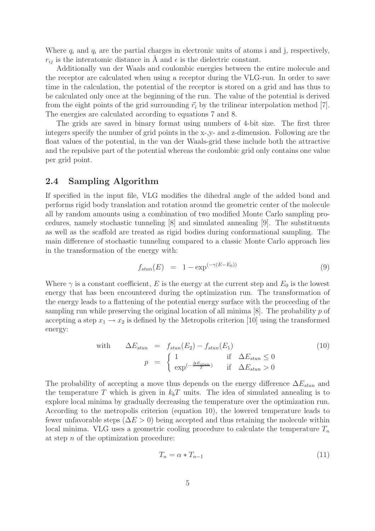Where  $q_i$  and  $q_i$  are the partial charges in electronic units of atoms i and j, respectively,  $r_{ij}$  is the interatomic distance in Å and  $\epsilon$  is the dielectric constant.

Additionally van der Waals and coulombic energies between the entire molecule and the receptor are calculated when using a receptor during the VLG-run. In order to save time in the calculation, the potential of the receptor is stored on a grid and has thus to be calculated only once at the beginning of the run. The value of the potential is derived from the eight points of the grid surrounding  $\vec{r}_i$  by the trilinear interpolation method [7]. The energies are calculated according to equations 7 and 8.

The grids are saved in binary format using numbers of 4-bit size. The first three integers specify the number of grid points in the x-,y- and z-dimension. Following are the float values of the potential, in the van der Waals-grid these include both the attractive and the repulsive part of the potential whereas the coulombic grid only contains one value per grid point.

#### 2.4 Sampling Algorithm

If specified in the input file, VLG modifies the dihedral angle of the added bond and performs rigid body translation and rotation around the geometric center of the molecule all by random amounts using a combination of two modified Monte Carlo sampling procedures, namely stochastic tunneling [8] and simulated annealing [9]. The substituents as well as the scaffold are treated as rigid bodies during conformational sampling. The main difference of stochastic tunneling compared to a classic Monte Carlo approach lies in the transformation of the energy with:

$$
f_{stun}(E) = 1 - \exp^{(-\gamma(E - E_0))}
$$
\n(9)

Where  $\gamma$  is a constant coefficient, E is the energy at the current step and  $E_0$  is the lowest energy that has been encountered during the optimization run. The transformation of the energy leads to a flattening of the potential energy surface with the proceeding of the sampling run while preserving the original location of all minima  $[8]$ . The probability p of accepting a step  $x_1 \rightarrow x_2$  is defined by the Metropolis criterion [10] using the transformed energy:

with 
$$
\Delta E_{stun} = f_{stun}(E_2) - f_{stun}(E_1)
$$
 (10)  

$$
p = \begin{cases} 1 & \text{if } \Delta E_{stun} \le 0 \\ \exp^{-\frac{\Delta E_{stun}}{T}} & \text{if } \Delta E_{stun} > 0 \end{cases}
$$

The probability of accepting a move thus depends on the energy difference  $\Delta E_{stun}$  and the temperature T which is given in  $k_bT$  units. The idea of simulated annealing is to explore local minima by gradually decreasing the temperature over the optimization run. According to the metropolis criterion (equation 10), the lowered temperature leads to fewer unfavorable steps ( $\Delta E > 0$ ) being accepted and thus retaining the molecule within local minima. VLG uses a geometric cooling procedure to calculate the temperature  $T_n$ at step  $n$  of the optimization procedure:

$$
T_n = \alpha \ast T_{n-1} \tag{11}
$$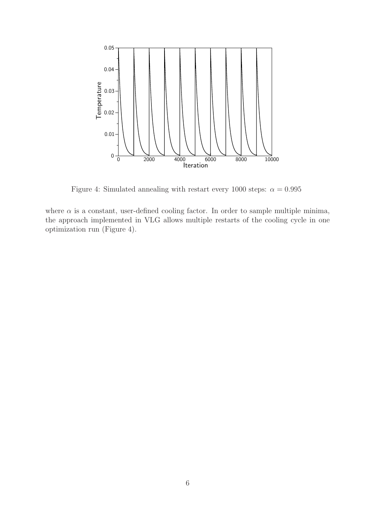

Figure 4: Simulated annealing with restart every 1000 steps:  $\alpha = 0.995$ 

where  $\alpha$  is a constant, user-defined cooling factor. In order to sample multiple minima, the approach implemented in VLG allows multiple restarts of the cooling cycle in one optimization run (Figure 4).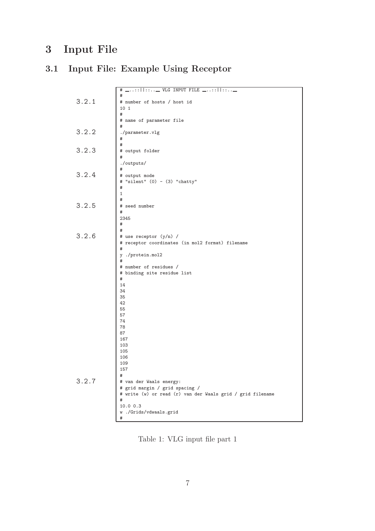# 3 Input File

# 3.1 Input File: Example Using Receptor

|       | # _::    ::_ VLG INPUT FILE _::    ::_                     |
|-------|------------------------------------------------------------|
|       |                                                            |
|       | #                                                          |
| 3.2.1 | # number of hosts / host id                                |
|       | 10 1                                                       |
|       | #                                                          |
|       | # name of parameter file                                   |
|       |                                                            |
|       | #                                                          |
| 3.2.2 | ./parameter.vlg                                            |
|       | #                                                          |
|       | #                                                          |
| 3.2.3 | # output folder                                            |
|       |                                                            |
|       | #                                                          |
|       | ./outputs/                                                 |
|       | #                                                          |
| 3.2.4 | # output mode                                              |
|       | # "silent" (0) - (3) "chatty"                              |
|       |                                                            |
|       | #                                                          |
|       | 1                                                          |
|       | #                                                          |
| 3.2.5 | # seed number                                              |
|       | #                                                          |
|       | 2345                                                       |
|       | #                                                          |
|       |                                                            |
|       | #                                                          |
| 3.2.6 | # use receptor (y/n) /                                     |
|       | # receptor coordinates (in mol2 format) filename           |
|       | #                                                          |
|       | ./protein.mol2<br>y                                        |
|       | #                                                          |
|       |                                                            |
|       | # number of residues /                                     |
|       | # binding site residue list                                |
|       | #                                                          |
|       | 14                                                         |
|       | 34                                                         |
|       | 35                                                         |
|       |                                                            |
|       | 42                                                         |
|       | 55                                                         |
|       | 57                                                         |
|       | 74                                                         |
|       | 78                                                         |
|       | 87                                                         |
|       | 167                                                        |
|       |                                                            |
|       | 103                                                        |
|       | 105                                                        |
|       | 106                                                        |
|       | 109                                                        |
|       | 157                                                        |
|       | #                                                          |
| 3.2.7 |                                                            |
|       | # van der Waals energy:                                    |
|       | # grid margin / grid spacing /                             |
|       | # write (w) or read (r) van der Waals grid / grid filename |
|       | #                                                          |
|       | 10.0 0.3                                                   |
|       | w./Grids/vdwaals.grid                                      |
|       |                                                            |
|       | #                                                          |

Table 1: VLG input file part 1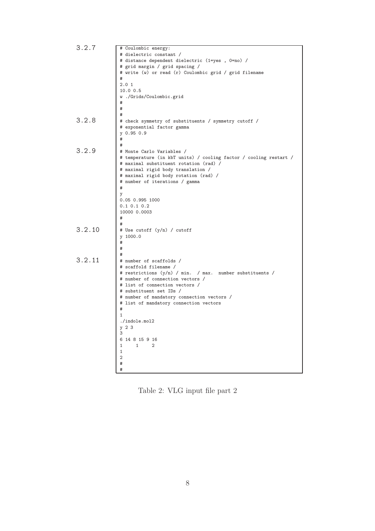| 3.2.7  | # Coulombic energy:                                                                          |
|--------|----------------------------------------------------------------------------------------------|
|        | # dielectric constant /                                                                      |
|        | # distance dependent dielectric (1=yes , 0=no) /                                             |
|        | # grid margin / grid spacing /                                                               |
|        | # write (w) or read (r) Coulombic grid / grid filename                                       |
|        | #                                                                                            |
|        | 2.01                                                                                         |
|        | 10.0 0.5                                                                                     |
|        | w./Grids/Coulombic.grid                                                                      |
|        | #                                                                                            |
|        | #                                                                                            |
|        | #                                                                                            |
| 3.2.8  | # check symmetry of substituents / symmetry cutoff /                                         |
|        | # exponential factor gamma                                                                   |
|        | $y$ 0.95 0.9                                                                                 |
|        | #                                                                                            |
|        | #                                                                                            |
| 3.2.9  |                                                                                              |
|        | # Monte Carlo Variables /                                                                    |
|        | # temperature (in kbT units) / cooling factor / cooling restart /                            |
|        | # maximal substituent rotation (rad) /                                                       |
|        | # maximal rigid body translation /                                                           |
|        | # maximal rigid body rotation (rad) /                                                        |
|        | # number of iterations / gamma<br>#                                                          |
|        |                                                                                              |
|        | y<br>0.05 0.995 1000                                                                         |
|        | 0.1 0.1 0.2                                                                                  |
|        | 10000 0.0003                                                                                 |
|        | #                                                                                            |
|        | #                                                                                            |
| 3.2.10 | # Use cutoff (y/n) / cutoff                                                                  |
|        | 1000.0                                                                                       |
|        | y<br>#                                                                                       |
|        |                                                                                              |
|        | #                                                                                            |
| 3.2.11 |                                                                                              |
|        | # number of scaffolds /                                                                      |
|        | # scaffold filename /                                                                        |
|        | # restrictions (y/n) / min. / max. number substituents /<br># number of connection vectors / |
|        | # list of connection vectors /                                                               |
|        | # substituent set IDs /                                                                      |
|        |                                                                                              |
|        | # number of mandatory connection vectors /                                                   |
|        | # list of mandatory connection vectors<br>#                                                  |
|        | 1                                                                                            |
|        |                                                                                              |
|        | ./indole.mol2<br>$y$ 2 3                                                                     |
|        | 3                                                                                            |
|        | 6 14 8 15 9 16                                                                               |
|        | $\mathbf{1}$                                                                                 |
|        | 1<br>2                                                                                       |
|        | 1<br>$\overline{2}$                                                                          |
|        | #                                                                                            |
|        | #                                                                                            |
|        |                                                                                              |

Table 2: VLG input file part 2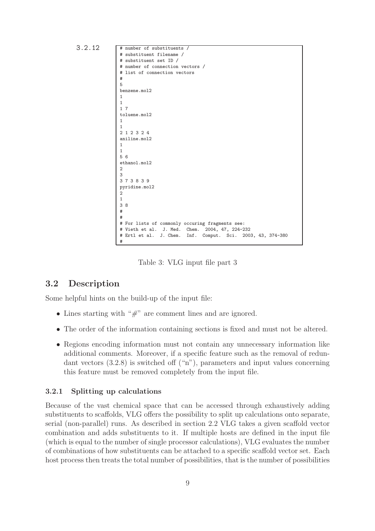```
3.2.12 # number of substituents /
                # substituent filename /
                # substituent set ID /
                # number of connection vectors /
                # list of connection vectors
                #
                5
                benzene.mol2
                1
                1
                1 7
                toluene.mol2
                1
                1
                2 1 2 3 2 4
                aniline.mol2
                1
                1
                5 6
                ethanol.mol2
                \overline{2}3
                3 7 3 8 3 9
                pyridine.mol2
                \overline{2}1
                3 8
                #
                #
                 # For lists of commonly occuring fragments see:
                 # Vieth et al. J. Med. Chem. 2004, 47, 224-232
                # Ertl et al. J. Chem. Inf. Comput. Sci. 2003, 43, 374-380
                #
```
Table 3: VLG input file part 3

#### 3.2 Description

Some helpful hints on the build-up of the input file:

- Lines starting with " $#$ " are comment lines and are ignored.
- The order of the information containing sections is fixed and must not be altered.
- Regions encoding information must not contain any unnecessary information like additional comments. Moreover, if a specific feature such as the removal of redundant vectors  $(3.2.8)$  is switched off  $("n")$ , parameters and input values concerning this feature must be removed completely from the input file.

#### 3.2.1 Splitting up calculations

Because of the vast chemical space that can be accessed through exhaustively adding substituents to scaffolds, VLG offers the possibility to split up calculations onto separate, serial (non-parallel) runs. As described in section 2.2 VLG takes a given scaffold vector combination and adds substituents to it. If multiple hosts are defined in the input file (which is equal to the number of single processor calculations), VLG evaluates the number of combinations of how substituents can be attached to a specific scaffold vector set. Each host process then treats the total number of possibilities, that is the number of possibilities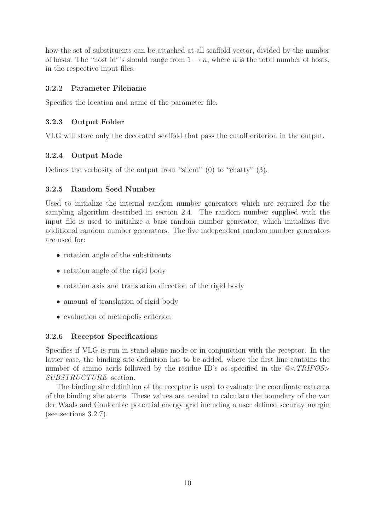how the set of substituents can be attached at all scaffold vector, divided by the number of hosts. The "host id"'s should range from  $1 \rightarrow n$ , where n is the total number of hosts, in the respective input files.

#### 3.2.2 Parameter Filename

Specifies the location and name of the parameter file.

#### 3.2.3 Output Folder

VLG will store only the decorated scaffold that pass the cutoff criterion in the output.

#### 3.2.4 Output Mode

Defines the verbosity of the output from "silent" (0) to "chatty" (3).

#### 3.2.5 Random Seed Number

Used to initialize the internal random number generators which are required for the sampling algorithm described in section 2.4. The random number supplied with the input file is used to initialize a base random number generator, which initializes five additional random number generators. The five independent random number generators are used for:

- rotation angle of the substituents
- rotation angle of the rigid body
- rotation axis and translation direction of the rigid body
- amount of translation of rigid body
- evaluation of metropolis criterion

#### 3.2.6 Receptor Specifications

Specifies if VLG is run in stand-alone mode or in conjunction with the receptor. In the latter case, the binding site definition has to be added, where the first line contains the number of amino acids followed by the residue ID's as specified in the  $\mathcal{Q} \leq TRIPOS$ SUBSTRUCTURE–section.

The binding site definition of the receptor is used to evaluate the coordinate extrema of the binding site atoms. These values are needed to calculate the boundary of the van der Waals and Coulombic potential energy grid including a user defined security margin (see sections 3.2.7).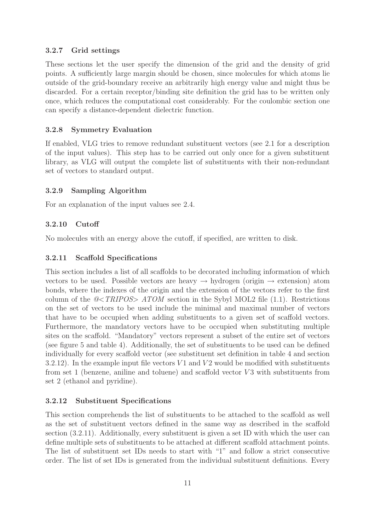#### 3.2.7 Grid settings

These sections let the user specify the dimension of the grid and the density of grid points. A sufficiently large margin should be chosen, since molecules for which atoms lie outside of the grid-boundary receive an arbitrarily high energy value and might thus be discarded. For a certain receptor/binding site definition the grid has to be written only once, which reduces the computational cost considerably. For the coulombic section one can specify a distance-dependent dielectric function.

#### 3.2.8 Symmetry Evaluation

If enabled, VLG tries to remove redundant substituent vectors (see 2.1 for a description of the input values). This step has to be carried out only once for a given substituent library, as VLG will output the complete list of substituents with their non-redundant set of vectors to standard output.

#### 3.2.9 Sampling Algorithm

For an explanation of the input values see 2.4.

#### 3.2.10 Cutoff

No molecules with an energy above the cutoff, if specified, are written to disk.

#### 3.2.11 Scaffold Specifications

This section includes a list of all scaffolds to be decorated including information of which vectors to be used. Possible vectors are heavy  $\rightarrow$  hydrogen (origin  $\rightarrow$  extension) atom bonds, where the indexes of the origin and the extension of the vectors refer to the first column of the  $@ ATOM$  section in the Sybyl MOL2 file (1.1). Restrictions on the set of vectors to be used include the minimal and maximal number of vectors that have to be occupied when adding substituents to a given set of scaffold vectors. Furthermore, the mandatory vectors have to be occupied when substituting multiple sites on the scaffold. "Mandatory" vectors represent a subset of the entire set of vectors (see figure 5 and table 4). Additionally, the set of substituents to be used can be defined individually for every scaffold vector (see substituent set definition in table 4 and section 3.2.12). In the example input file vectors  $V1$  and  $V2$  would be modified with substituents from set 1 (benzene, aniline and toluene) and scaffold vector  $V3$  with substituents from set 2 (ethanol and pyridine).

#### 3.2.12 Substituent Specifications

This section comprehends the list of substituents to be attached to the scaffold as well as the set of substituent vectors defined in the same way as described in the scaffold section (3.2.11). Additionally, every substituent is given a set ID with which the user can define multiple sets of substituents to be attached at different scaffold attachment points. The list of substituent set IDs needs to start with "1" and follow a strict consecutive order. The list of set IDs is generated from the individual substituent definitions. Every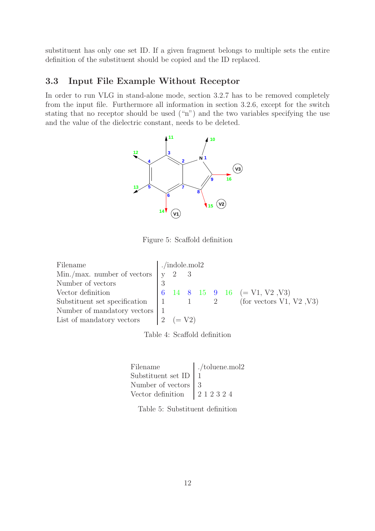substituent has only one set ID. If a given fragment belongs to multiple sets the entire definition of the substituent should be copied and the ID replaced.

## 3.3 Input File Example Without Receptor

In order to run VLG in stand-alone mode, section 3.2.7 has to be removed completely from the input file. Furthermore all information in section 3.2.6, except for the switch stating that no receptor should be used ("n") and the two variables specifying the use and the value of the dielectric constant, needs to be deleted.



Figure 5: Scaffold definition

| ./indole.mol2                          |  |  |                                                                       |                                                                     |  |                                                                                                           |
|----------------------------------------|--|--|-----------------------------------------------------------------------|---------------------------------------------------------------------|--|-----------------------------------------------------------------------------------------------------------|
|                                        |  |  |                                                                       |                                                                     |  |                                                                                                           |
|                                        |  |  |                                                                       |                                                                     |  |                                                                                                           |
|                                        |  |  |                                                                       |                                                                     |  |                                                                                                           |
|                                        |  |  |                                                                       |                                                                     |  | Substituent set specification $\begin{vmatrix} 1 & 1 \\ 2 & \text{for vectors } V1, V2, V3 \end{vmatrix}$ |
| Number of mandatory vectors $\mid$ $1$ |  |  |                                                                       |                                                                     |  |                                                                                                           |
|                                        |  |  |                                                                       |                                                                     |  |                                                                                                           |
|                                        |  |  | Min./max. number of vectors $\begin{bmatrix} y & 2 & 3 \end{bmatrix}$ | List of mandatory vectors $\begin{vmatrix} 2 & (=V2) \end{vmatrix}$ |  | $\begin{bmatrix} 6 & 14 & 8 & 15 & 9 & 16 \end{bmatrix}$ (= V1, V2, V3)                                   |

Table 4: Scaffold definition

| Filename                     | $\sim$ toluene.mol2 |
|------------------------------|---------------------|
| Substituent set ID $\vert$ 1 |                     |
| Number of vectors   3        |                     |
|                              |                     |

Table 5: Substituent definition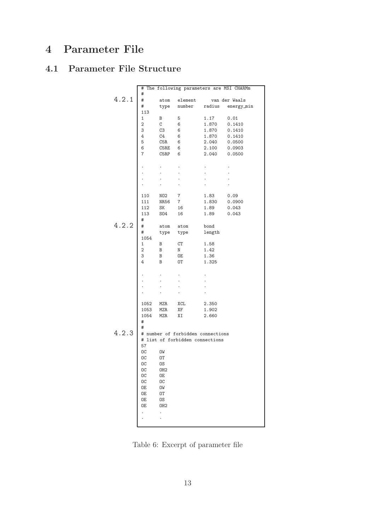# 4 Parameter File

# 4.1 Parameter File Structure

|       | # The following parameters are MSI CHARMm |                       |                                   |        |               |  |  |  |
|-------|-------------------------------------------|-----------------------|-----------------------------------|--------|---------------|--|--|--|
|       | #                                         |                       |                                   |        |               |  |  |  |
| 4.2.1 | #                                         | atom                  | element                           |        | van der Waals |  |  |  |
|       | #                                         | type                  | number radius                     |        | energy_min    |  |  |  |
|       | 113                                       |                       |                                   |        |               |  |  |  |
|       | $\mathbf 1$                               | В                     | 5                                 | 1.17   | 0.01          |  |  |  |
|       | $\overline{2}$                            | C                     | 6                                 | 1.870  | 0.1410        |  |  |  |
|       | 3                                         | C3                    | 6                                 | 1.870  | 0.1410        |  |  |  |
|       | 4                                         | C4                    | 6                                 | 1.870  | 0.1410        |  |  |  |
|       | 5                                         | C5R                   | 6                                 | 2.040  | 0.0500        |  |  |  |
|       | 6                                         | C5RE                  | 6                                 | 2.100  | 0.0903        |  |  |  |
|       | 7                                         | $\mathtt{CSRP}$       | 6                                 | 2.040  | 0.0500        |  |  |  |
|       |                                           |                       |                                   |        |               |  |  |  |
|       |                                           |                       |                                   |        |               |  |  |  |
|       |                                           |                       |                                   |        |               |  |  |  |
|       |                                           |                       |                                   |        |               |  |  |  |
|       |                                           |                       |                                   |        |               |  |  |  |
|       |                                           |                       |                                   |        |               |  |  |  |
|       | 110                                       | NO2                   | 7                                 | 1.83   | 0.09          |  |  |  |
|       | 111                                       | NR56                  | 7 <sup>7</sup>                    | 1.830  | 0.0900        |  |  |  |
|       | 112                                       | SK                    | 16                                | 1.89   | 0.043         |  |  |  |
|       | 113                                       | S04                   | 16                                | 1.89   | 0.043         |  |  |  |
|       | #                                         |                       |                                   |        |               |  |  |  |
| 4.2.2 | #                                         | atom                  | atom                              | bond   |               |  |  |  |
|       | #                                         | type                  | type                              | length |               |  |  |  |
|       | 1054                                      |                       |                                   |        |               |  |  |  |
|       | $\mathbf{1}$                              | B                     | СT                                | 1.58   |               |  |  |  |
|       | $\overline{2}$                            | B                     | N                                 | 1.42   |               |  |  |  |
|       | 3                                         | В                     | 0E                                | 1.36   |               |  |  |  |
|       | 4                                         | B                     | 0T                                | 1.325  |               |  |  |  |
|       |                                           |                       |                                   |        |               |  |  |  |
|       |                                           |                       |                                   |        |               |  |  |  |
|       |                                           |                       |                                   |        |               |  |  |  |
|       |                                           |                       |                                   |        |               |  |  |  |
|       |                                           |                       |                                   |        |               |  |  |  |
|       |                                           |                       |                                   |        |               |  |  |  |
|       | 1052 MZR                                  |                       | XCL                               | 2.350  |               |  |  |  |
|       | 1053                                      | MZR                   | ΧF                                | 1.902  |               |  |  |  |
|       | 1054                                      | <b>MZR</b>            | ΧI                                | 2.660  |               |  |  |  |
|       | #<br>#                                    |                       |                                   |        |               |  |  |  |
| 4.2.3 |                                           |                       |                                   |        |               |  |  |  |
|       |                                           |                       | # number of forbidden connections |        |               |  |  |  |
|       | 57                                        |                       | # list of forbidden connections   |        |               |  |  |  |
|       | OC                                        | OW                    |                                   |        |               |  |  |  |
|       | OC                                        | 0T                    |                                   |        |               |  |  |  |
|       | ОC                                        |                       |                                   |        |               |  |  |  |
|       | ОC                                        | OS                    |                                   |        |               |  |  |  |
|       | OC                                        | OH <sub>2</sub><br>0E |                                   |        |               |  |  |  |
|       |                                           |                       |                                   |        |               |  |  |  |
|       | ОC<br>0E                                  | ОC<br>OW              |                                   |        |               |  |  |  |
|       |                                           |                       |                                   |        |               |  |  |  |
|       | 0E                                        | ОT                    |                                   |        |               |  |  |  |
|       | 0E<br>0E                                  | OS<br>OH <sub>2</sub> |                                   |        |               |  |  |  |
|       |                                           |                       |                                   |        |               |  |  |  |
|       |                                           | $\ddot{\phantom{0}}$  |                                   |        |               |  |  |  |
|       |                                           |                       |                                   |        |               |  |  |  |
|       |                                           |                       |                                   |        |               |  |  |  |

Table 6: Excerpt of parameter file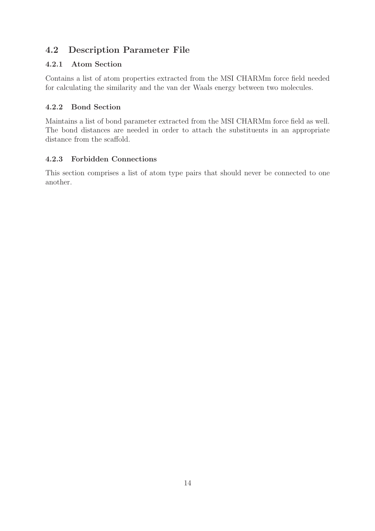## 4.2 Description Parameter File

### 4.2.1 Atom Section

Contains a list of atom properties extracted from the MSI CHARMm force field needed for calculating the similarity and the van der Waals energy between two molecules.

## 4.2.2 Bond Section

Maintains a list of bond parameter extracted from the MSI CHARMm force field as well. The bond distances are needed in order to attach the substituents in an appropriate distance from the scaffold.

## 4.2.3 Forbidden Connections

This section comprises a list of atom type pairs that should never be connected to one another.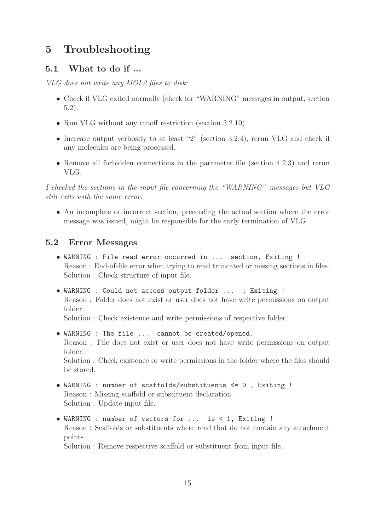# 5 Troubleshooting

### 5.1 What to do if ...

VLG does not write any MOL2 files to disk:

- Check if VLG exited normally (check for "WARNING" messages in output, section 5.2).
- Run VLG without any cutoff restriction (section 3.2.10).
- Increase output verbosity to at least "2" (section 3.2.4), rerun VLG and check if any molecules are being processed.
- Remove all forbidden connections in the parameter file (section 4.2.3) and rerun VLG.

I checked the sections in the input file concerning the "WARNING"–messages but VLG still exits with the same error:

• An incomplete or incorrect section, preceeding the actual section where the error message was issued, might be responsible for the early termination of VLG.

### 5.2 Error Messages

- WARNING : File read error occurred in ... section, Exiting ! Reason : End-of-file error when trying to read truncated or missing sections in files. Solution : Check structure of input file.
- WARNING : Could not access output folder ... ; Exiting ! Reason : Folder does not exist or user does not have write permissions on output folder.

Solution : Check existence and write permissions of respective folder.

- WARNING : The file ... cannot be created/opened. Reason : File does not exist or user does not have write permissions on output folder. Solution : Check existence or write permissions in the folder where the files should be stored.
- WARNING : number of scaffolds/substituents <= 0 , Exiting ! Reason : Missing scaffold or substituent declaration. Solution : Update input file.
- WARNING : number of vectors for ... is < 1, Exiting ! Reason : Scaffolds or substituents where read that do not contain any attachment points.

Solution : Remove respective scaffold or substituent from input file.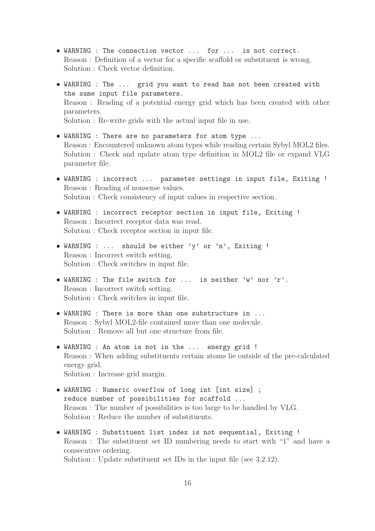- WARNING : The connection vector ... for ... is not correct. Reason : Definition of a vector for a specific scaffold or substituent is wrong. Solution : Check vector definition.
- WARNING : The ... grid you want to read has not been created with the same input file parameters. Reason : Reading of a potential energy grid which has been created with other parameters. Solution : Re-write grids with the actual input file in use.
- WARNING : There are no parameters for atom type ... Reason : Encountered unknown atom types while reading certain Sybyl MOL2 files. Solution : Check and update atom type definition in MOL2 file or expand VLG parameter file.
- WARNING : incorrect ... parameter settings in input file, Exiting ! Reason : Reading of nonsense values. Solution : Check consistency of input values in respective section.
- WARNING : incorrect receptor section in input file, Exiting ! Reason : Incorrect receptor data was read. Solution : Check receptor section in input file.
- WARNING : ... should be either 'y' or 'n', Exiting ! Reason : Incorrect switch setting. Solution : Check switches in input file.
- WARNING : The file switch for ... is neither 'w' nor 'r'. Reason : Incorrect switch setting. Solution : Check switches in input file.
- WARNING : There is more than one substructure in ... Reason : Sybyl MOL2-file contained more than one molecule. Solution : Remove all but one structure from file.
- WARNING : An atom is not in the ... energy grid ! Reason : When adding substituents certain atoms lie outside of the pre-calculated energy grid. Solution : Increase grid margin.
- WARNING : Numeric overflow of long int [int size] ; reduce number of possibilities for scaffold ... Reason : The number of possibilities is too large to be handled by VLG. Solution : Reduce the number of substituents.
- WARNING : Substituent list index is not sequential, Exiting ! Reason : The substituent set ID numbering needs to start with "1" and have a consecutive ordering. Solution : Update substituent set IDs in the input file (see 3.2.12).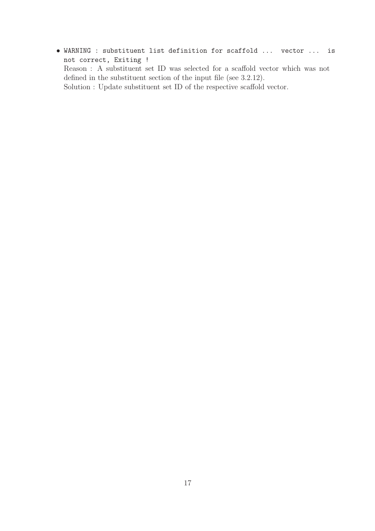• WARNING : substituent list definition for scaffold ... vector ... is not correct, Exiting ! Reason : A substituent set ID was selected for a scaffold vector which was not defined in the substituent section of the input file (see 3.2.12). Solution : Update substituent set ID of the respective scaffold vector.